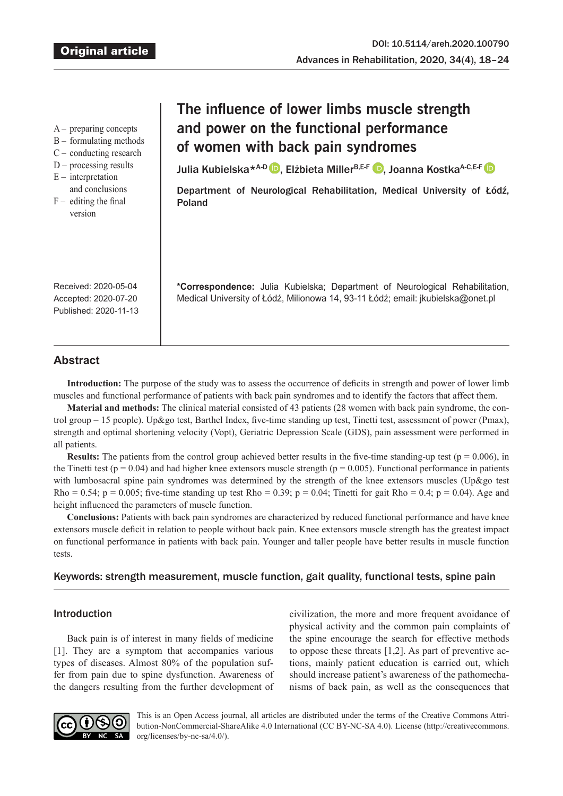|  | preparing concepts |  |
|--|--------------------|--|

- B formulating methods
- C conducting research
- $D$  processing results
- $E$  interpretation
- and conclusions  $F -$  editing the final version

# **The influence of lower limbs muscle strength and power on the functional performance of women with back pain syndromes**

JuliaKubielska<sup>\*A-D</sup> D, Elżbieta Miller<sup>B,E-F</sup> D, Joanna Kostka<sup>A-C,E-F</sup> D

Department of Neurological Rehabilitation, Medical University of Łódź, Poland

**\*Correspondence:** Julia Kubielska; Department of Neurological Rehabilitation, Medical University of Łódź, Milionowa 14, 93-11 Łódź; email: jkubielska@onet.pl

Received: 2020-05-04 Accepted: 2020-07-20 Published: 2020-11-13

# **Abstract**

**Introduction:** The purpose of the study was to assess the occurrence of deficits in strength and power of lower limb muscles and functional performance of patients with back pain syndromes and to identify the factors that affect them.

**Material and methods:** The clinical material consisted of 43 patients (28 women with back pain syndrome, the control group – 15 people). Up&go test, Barthel Index, five-time standing up test, Tinetti test, assessment of power (Pmax), strength and optimal shortening velocity (Vopt), Geriatric Depression Scale (GDS), pain assessment were performed in all patients.

**Results:** The patients from the control group achieved better results in the five-time standing-up test ( $p = 0.006$ ), in the Tinetti test ( $p = 0.04$ ) and had higher knee extensors muscle strength ( $p = 0.005$ ). Functional performance in patients with lumbosacral spine pain syndromes was determined by the strength of the knee extensors muscles (Up&go test Rho = 0.54; p = 0.005; five-time standing up test Rho = 0.39; p = 0.04; Tinetti for gait Rho = 0.4; p = 0.04). Age and height influenced the parameters of muscle function.

**Conclusions:** Patients with back pain syndromes are characterized by reduced functional performance and have knee extensors muscle deficit in relation to people without back pain. Knee extensors muscle strength has the greatest impact on functional performance in patients with back pain. Younger and taller people have better results in muscle function tests.

# Keywords: strength measurement, muscle function, gait quality, functional tests, spine pain

# Introduction

Back pain is of interest in many fields of medicine [1]. They are a symptom that accompanies various types of diseases. Almost 80% of the population suffer from pain due to spine dysfunction. Awareness of the dangers resulting from the further development of civilization, the more and more frequent avoidance of physical activity and the common pain complaints of the spine encourage the search for effective methods to oppose these threats [1,2]. As part of preventive actions, mainly patient education is carried out, which should increase patient's awareness of the pathomechanisms of back pain, as well as the consequences that



This is an Open Access journal, all articles are distributed under the terms of the Creative Commons Attribution-NonCommercial-ShareAlike 4.0 International (CC BY-NC-SA 4.0). License (http://creativecommons. org/licenses/by-nc-sa/4.0/).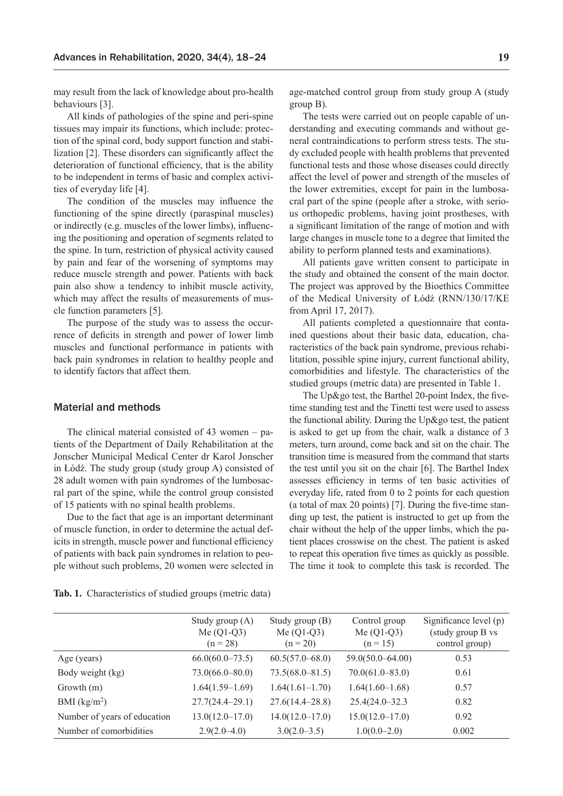may result from the lack of knowledge about pro-health behaviours [3].

All kinds of pathologies of the spine and peri-spine tissues may impair its functions, which include: protection of the spinal cord, body support function and stabilization [2]. These disorders can significantly affect the deterioration of functional efficiency, that is the ability to be independent in terms of basic and complex activities of everyday life [4].

The condition of the muscles may influence the functioning of the spine directly (paraspinal muscles) or indirectly (e.g. muscles of the lower limbs), influencing the positioning and operation of segments related to the spine. In turn, restriction of physical activity caused by pain and fear of the worsening of symptoms may reduce muscle strength and power. Patients with back pain also show a tendency to inhibit muscle activity, which may affect the results of measurements of muscle function parameters [5].

The purpose of the study was to assess the occurrence of deficits in strength and power of lower limb muscles and functional performance in patients with back pain syndromes in relation to healthy people and to identify factors that affect them.

#### Material and methods

The clinical material consisted of 43 women – patients of the Department of Daily Rehabilitation at the Jonscher Municipal Medical Center dr Karol Jonscher in Łódź. The study group (study group A) consisted of 28 adult women with pain syndromes of the lumbosacral part of the spine, while the control group consisted of 15 patients with no spinal health problems.

Due to the fact that age is an important determinant of muscle function, in order to determine the actual deficits in strength, muscle power and functional efficiency of patients with back pain syndromes in relation to people without such problems, 20 women were selected in

age-matched control group from study group A (study group B).

The tests were carried out on people capable of understanding and executing commands and without general contraindications to perform stress tests. The study excluded people with health problems that prevented functional tests and those whose diseases could directly affect the level of power and strength of the muscles of the lower extremities, except for pain in the lumbosacral part of the spine (people after a stroke, with serious orthopedic problems, having joint prostheses, with a significant limitation of the range of motion and with large changes in muscle tone to a degree that limited the ability to perform planned tests and examinations).

All patients gave written consent to participate in the study and obtained the consent of the main doctor. The project was approved by the Bioethics Committee of the Medical University of Łódź (RNN/130/17/KE from April 17, 2017).

All patients completed a questionnaire that contained questions about their basic data, education, characteristics of the back pain syndrome, previous rehabilitation, possible spine injury, current functional ability, comorbidities and lifestyle. The characteristics of the studied groups (metric data) are presented in Table 1.

The Up&go test, the Barthel 20-point Index, the fivetime standing test and the Tinetti test were used to assess the functional ability. During the Up&go test, the patient is asked to get up from the chair, walk a distance of 3 meters, turn around, come back and sit on the chair. The transition time is measured from the command that starts the test until you sit on the chair [6]. The Barthel Index assesses efficiency in terms of ten basic activities of everyday life, rated from 0 to 2 points for each question (a total of max 20 points) [7]. During the five-time standing up test, the patient is instructed to get up from the chair without the help of the upper limbs, which the patient places crosswise on the chest. The patient is asked to repeat this operation five times as quickly as possible. The time it took to complete this task is recorded. The

| Tab. 1. Characteristics of studied groups (metric data) |  |  |  |  |  |
|---------------------------------------------------------|--|--|--|--|--|
|---------------------------------------------------------|--|--|--|--|--|

|                              | Study group $(A)$<br>Me $(Q1-Q3)$<br>$(n = 28)$ | Study group (B)<br>Me $(Q1-Q3)$<br>$(n = 20)$ | Control group<br>Me $(Q1-Q3)$<br>$(n = 15)$ | Significance level $(p)$<br>(study group B vs<br>control group) |
|------------------------------|-------------------------------------------------|-----------------------------------------------|---------------------------------------------|-----------------------------------------------------------------|
| Age (years)                  | $66.0(60.0-73.5)$                               | $60.5(57.0 - 68.0)$                           | $59.0(50.0 - 64.00)$                        | 0.53                                                            |
| Body weight (kg)             | $73.0(66.0 - 80.0)$                             | $73.5(68.0 - 81.5)$                           | $70.0(61.0 - 83.0)$                         | 0.61                                                            |
| Growth $(m)$                 | $1.64(1.59-1.69)$                               | $1.64(1.61-1.70)$                             | $1.64(1.60-1.68)$                           | 0.57                                                            |
| BMI $(kg/m2)$                | $27.7(24.4 - 29.1)$                             | $27.6(14.4 - 28.8)$                           | $25.4(24.0 - 32.3)$                         | 0.82                                                            |
| Number of years of education | $13.0(12.0 - 17.0)$                             | $14.0(12.0 - 17.0)$                           | $15.0(12.0 - 17.0)$                         | 0.92                                                            |
| Number of comorbidities      | $2.9(2.0-4.0)$                                  | $3.0(2.0 - 3.5)$                              | $1.0(0.0-2.0)$                              | 0.002                                                           |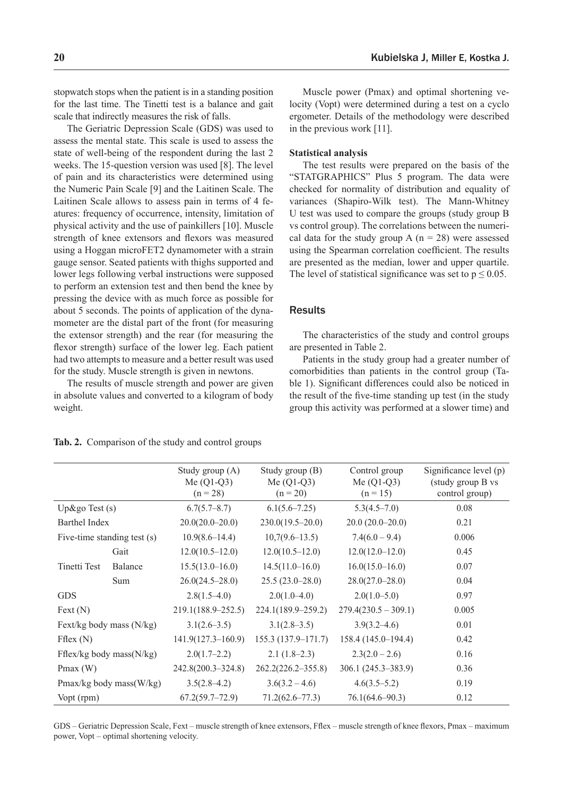stopwatch stops when the patient is in a standing position for the last time. The Tinetti test is a balance and gait scale that indirectly measures the risk of falls.

The Geriatric Depression Scale (GDS) was used to assess the mental state. This scale is used to assess the state of well-being of the respondent during the last 2 weeks. The 15-question version was used [8]. The level of pain and its characteristics were determined using the Numeric Pain Scale [9] and the Laitinen Scale. The Laitinen Scale allows to assess pain in terms of 4 features: frequency of occurrence, intensity, limitation of physical activity and the use of painkillers [10]. Muscle strength of knee extensors and flexors was measured using a Hoggan microFET2 dynamometer with a strain gauge sensor. Seated patients with thighs supported and lower legs following verbal instructions were supposed to perform an extension test and then bend the knee by pressing the device with as much force as possible for about 5 seconds. The points of application of the dynamometer are the distal part of the front (for measuring the extensor strength) and the rear (for measuring the flexor strength) surface of the lower leg. Each patient had two attempts to measure and a better result was used for the study. Muscle strength is given in newtons.

The results of muscle strength and power are given in absolute values and converted to a kilogram of body weight.

Muscle power (Pmax) and optimal shortening velocity (Vopt) were determined during a test on a cyclo ergometer. Details of the methodology were described in the previous work [11].

#### **Statistical analysis**

The test results were prepared on the basis of the "STATGRAPHICS" Plus 5 program. The data were checked for normality of distribution and equality of variances (Shapiro-Wilk test). The Mann-Whitney U test was used to compare the groups (study group B vs control group). The correlations between the numerical data for the study group A ( $n = 28$ ) were assessed using the Spearman correlation coefficient. The results are presented as the median, lower and upper quartile. The level of statistical significance was set to  $p \le 0.05$ .

#### **Results**

The characteristics of the study and control groups are presented in Table 2.

Patients in the study group had a greater number of comorbidities than patients in the control group (Table 1). Significant differences could also be noticed in the result of the five-time standing up test (in the study group this activity was performed at a slower time) and

|                  |                              | Study group (A)<br>Me $(Q1-Q3)$<br>$(n = 28)$ | Study group (B)<br>Me $(Q1-Q3)$<br>$(n = 20)$ | Control group<br>Me $(Q1-Q3)$<br>$(n = 15)$ | Significance level (p)<br>(study group B vs<br>control group) |
|------------------|------------------------------|-----------------------------------------------|-----------------------------------------------|---------------------------------------------|---------------------------------------------------------------|
| Up&go Test $(s)$ |                              | 6.7(5.7–8.7)                                  | $6.1(5.6 - 7.25)$                             | $5.3(4.5 - 7.0)$                            | 0.08                                                          |
| Barthel Index    |                              | $20.0(20.0-20.0)$                             | $230.0(19.5-20.0)$                            | $20.0(20.0-20.0)$                           | 0.21                                                          |
|                  | Five-time standing test (s)  | $10.9(8.6 - 14.4)$                            | $10,7(9.6-13.5)$                              | $7.4(6.0 - 9.4)$                            | 0.006                                                         |
|                  | Gait                         | $12.0(10.5-12.0)$                             | $12.0(10.5-12.0)$                             | $12.0(12.0 - 12.0)$                         | 0.45                                                          |
| Tinetti Test     | Balance                      | $15.5(13.0 - 16.0)$                           | $14.5(11.0 - 16.0)$                           | $16.0(15.0 - 16.0)$                         | 0.07                                                          |
|                  | Sum                          | $26.0(24.5 - 28.0)$                           | $25.5(23.0-28.0)$                             | $28.0(27.0 - 28.0)$                         | 0.04                                                          |
| <b>GDS</b>       |                              | $2.8(1.5-4.0)$                                | $2.0(1.0-4.0)$                                | $2.0(1.0-5.0)$                              | 0.97                                                          |
| Text(N)          |                              | 219.1(188.9–252.5)                            | 224.1(189.9-259.2)                            | $279.4(230.5 - 309.1)$                      | 0.005                                                         |
|                  | Fext/kg body mass (N/kg)     | $3.1(2.6-3.5)$                                | $3.1(2.8-3.5)$                                | $3.9(3.2 - 4.6)$                            | 0.01                                                          |
| Fflex $(N)$      |                              | $141.9(127.3 - 160.9)$                        | 155.3 (137.9-171.7)                           | 158.4 (145.0-194.4)                         | 0.42                                                          |
|                  | Fflex/kg body mass( $N/kg$ ) | $2.0(1.7-2.2)$                                | $2.1(1.8-2.3)$                                | $2.3(2.0-2.6)$                              | 0.16                                                          |
| Pmax $(W)$       |                              | 242.8(200.3-324.8)                            | $262.2(226.2 - 355.8)$                        | 306.1 (245.3-383.9)                         | 0.36                                                          |
|                  | Pmax/kg body mass(W/kg)      | $3.5(2.8-4.2)$                                | $3.6(3.2 - 4.6)$                              | $4.6(3.5 - 5.2)$                            | 0.19                                                          |
| Vopt (rpm)       |                              | $67.2(59.7 - 72.9)$                           | $71.2(62.6 - 77.3)$                           | $76.1(64.6 - 90.3)$                         | 0.12                                                          |

**Tab. 2.** Comparison of the study and control groups

GDS – Geriatric Depression Scale, Fext – muscle strength of knee extensors, Fflex – muscle strength of knee flexors, Pmax – maximum power, Vopt – optimal shortening velocity.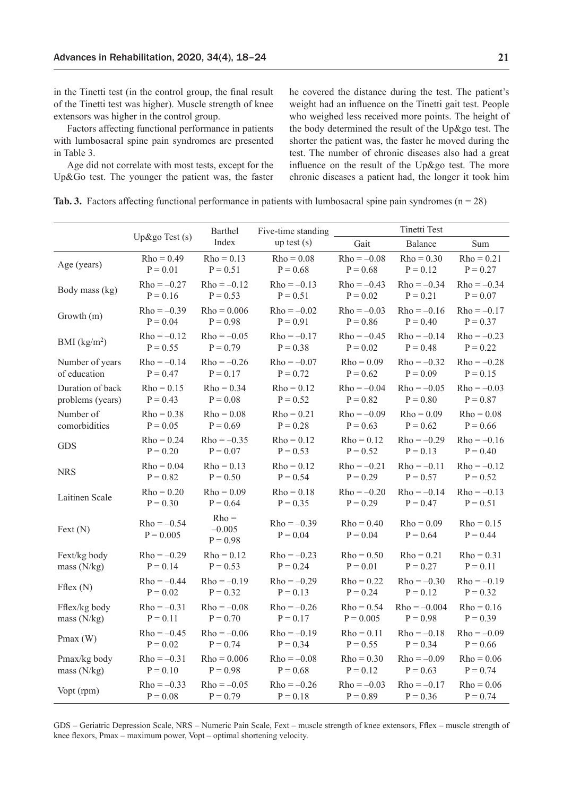in the Tinetti test (in the control group, the final result of the Tinetti test was higher). Muscle strength of knee extensors was higher in the control group.

Factors affecting functional performance in patients with lumbosacral spine pain syndromes are presented in Table 3.

Age did not correlate with most tests, except for the Up&Go test. The younger the patient was, the faster he covered the distance during the test. The patient's weight had an influence on the Tinetti gait test. People who weighed less received more points. The height of the body determined the result of the Up&go test. The shorter the patient was, the faster he moved during the test. The number of chronic diseases also had a great influence on the result of the Up&go test. The more chronic diseases a patient had, the longer it took him

|  |  |  |  | <b>Tab. 3.</b> Factors affecting functional performance in patients with lumbosacral spine pain syndromes ( $n = 28$ ) |  |  |  |  |  |  |  |  |
|--|--|--|--|------------------------------------------------------------------------------------------------------------------------|--|--|--|--|--|--|--|--|
|--|--|--|--|------------------------------------------------------------------------------------------------------------------------|--|--|--|--|--|--|--|--|

|                  |                              | Barthel                           | Five-time standing          |                            | <b>Tinetti Test</b>        |                            |
|------------------|------------------------------|-----------------------------------|-----------------------------|----------------------------|----------------------------|----------------------------|
|                  | Up&go Test $(s)$             | Index                             | up test $(s)$               | Gait                       | Balance                    | Sum                        |
| Age (years)      | $Rho = 0.49$                 | $Rho = 0.13$                      | $Rho = 0.08$                | $Rho = -0.08$              | $Rho = 0.30$               | $Rho = 0.21$               |
|                  | $P = 0.01$                   | $P = 0.51$                        | $P = 0.68$                  | $P = 0.68$                 | $P = 0.12$                 | $P = 0.27$                 |
| Body mass (kg)   | $Rho = -0.27$                | $Rho = -0.12$                     | $Rho = -0.13$               | $Rho = -0.43$              | $Rho = -0.34$              | $Rho = -0.34$              |
|                  | $P = 0.16$                   | $P = 0.53$                        | $P = 0.51$                  | $P = 0.02$                 | $P = 0.21$                 | $P = 0.07$                 |
| Growth (m)       | $Rho = -0.39$                | $Rho = 0.006$                     | $Rho = -0.02$               | $Rho = -0.03$              | $Rho = -0.16$              | $Rho = -0.17$              |
|                  | $P = 0.04$                   | $P = 0.98$                        | $P = 0.91$                  | $P = 0.86$                 | $P = 0.40$                 | $P = 0.37$                 |
| BMI $(kg/m2)$    | $Rho = -0.12$                | $Rho = -0.05$                     | $Rho = -0.17$               | $Rho = -0.45$              | $Rho = -0.14$              | $Rho = -0.23$              |
|                  | $P = 0.55$                   | $P = 0.79$                        | $P = 0.38$                  | $P = 0.02$                 | $P = 0.48$                 | $P = 0.22$                 |
| Number of years  | $Rho = -0.14$                | $Rho = -0.26$                     | $Rho = -0.07$               | $Rho = 0.09$               | $Rho = -0.32$              | $Rho = -0.28$              |
| of education     | $P = 0.47$                   | $P = 0.17$                        | $P = 0.72$                  | $P = 0.62$                 | $P = 0.09$                 | $P = 0.15$                 |
| Duration of back | $Rho = 0.15$                 | $Rho = 0.34$                      | $Rho = 0.12$                | $Rho = -0.04$              | $Rho = -0.05$              | $Rho = -0.03$              |
| problems (years) | $P = 0.43$                   | $P = 0.08$                        | $P = 0.52$                  | $P = 0.82$                 | $P = 0.80$                 | $P = 0.87$                 |
| Number of        | $Rho = 0.38$                 | $Rho = 0.08$                      | $Rho = 0.21$                | $Rho = -0.09$              | $Rho = 0.09$               | $Rho = 0.08$               |
| comorbidities    | $P = 0.05$                   | $P = 0.69$                        | $P = 0.28$                  | $P = 0.63$                 | $P = 0.62$                 | $P = 0.66$                 |
| <b>GDS</b>       | $Rho = 0.24$                 | $Rho = -0.35$                     | $Rho = 0.12$                | $Rho = 0.12$               | $Rho = -0.29$              | $Rho = -0.16$              |
|                  | $P = 0.20$                   | $P = 0.07$                        | $P = 0.53$                  | $P = 0.52$                 | $P = 0.13$                 | $P = 0.40$                 |
| <b>NRS</b>       | $Rho = 0.04$                 | $Rho = 0.13$                      | $Rho = 0.12$                | $Rho = -0.21$              | $Rho = -0.11$              | $Rho = -0.12$              |
|                  | $P = 0.82$                   | $P = 0.50$                        | $P = 0.54$                  | $P = 0.29$                 | $P = 0.57$                 | $P = 0.52$                 |
| Laitinen Scale   | $Rho = 0.20$                 | $Rho = 0.09$                      | $Rho = 0.18$                | $Rho = -0.20$              | $Rho = -0.14$              | $Rho = -0.13$              |
|                  | $P = 0.30$                   | $P = 0.64$                        | $P = 0.35$                  | $P = 0.29$                 | $P = 0.47$                 | $P = 0.51$                 |
| Text(N)          | $Rho = -0.54$<br>$P = 0.005$ | $Rho =$<br>$-0.005$<br>$P = 0.98$ | $Rho = -0.39$<br>$P = 0.04$ | $Rho = 0.40$<br>$P = 0.04$ | $Rho = 0.09$<br>$P = 0.64$ | $Rho = 0.15$<br>$P = 0.44$ |
| Fext/kg body     | $Rho = -0.29$                | $Rho = 0.12$                      | $Rho = -0.23$               | $Rho = 0.50$               | $Rho = 0.21$               | $Rho = 0.31$               |
| mass $(N/kg)$    | $P = 0.14$                   | $P = 0.53$                        | $P = 0.24$                  | $P = 0.01$                 | $P = 0.27$                 | $P = 0.11$                 |
| Fflex $(N)$      | $Rho = -0.44$                | $Rho = -0.19$                     | $Rho = -0.29$               | $Rho = 0.22$               | $Rho = -0.30$              | $Rho = -0.19$              |
|                  | $P = 0.02$                   | $P = 0.32$                        | $P = 0.13$                  | $P = 0.24$                 | $P = 0.12$                 | $P = 0.32$                 |
| Fflex/kg body    | $Rho = -0.31$                | $Rho = -0.08$                     | $Rho = -0.26$               | $Rho = 0.54$               | $Rho = -0.004$             | $Rho = 0.16$               |
| mass $(N/kg)$    | $P = 0.11$                   | $P = 0.70$                        | $P = 0.17$                  | $P = 0.005$                | $P = 0.98$                 | $P = 0.39$                 |
| Pmax $(W)$       | $Rho = -0.45$                | $Rho = -0.06$                     | $Rho = -0.19$               | $Rho = 0.11$               | $Rho = -0.18$              | $Rho = -0.09$              |
|                  | $P = 0.02$                   | $P = 0.74$                        | $P = 0.34$                  | $P = 0.55$                 | $P = 0.34$                 | $P = 0.66$                 |
| Pmax/kg body     | $Rho = -0.31$                | $Rho = 0.006$                     | $Rho = -0.08$               | $Rho = 0.30$               | $Rho = -0.09$              | $Rho = 0.06$               |
| mass $(N/kg)$    | $P = 0.10$                   | $P = 0.98$                        | $P = 0.68$                  | $P = 0.12$                 | $P = 0.63$                 | $P = 0.74$                 |
| Vopt (rpm)       | $Rho = -0.33$                | $Rho = -0.05$                     | $Rho = -0.26$               | $Rho = -0.03$              | $Rho = -0.17$              | $Rho = 0.06$               |
|                  | $P = 0.08$                   | $P = 0.79$                        | $P = 0.18$                  | $P = 0.89$                 | $P = 0.36$                 | $P = 0.74$                 |

GDS – Geriatric Depression Scale, NRS – Numeric Pain Scale, Fext – muscle strength of knee extensors, Fflex – muscle strength of knee flexors, Pmax – maximum power, Vopt – optimal shortening velocity.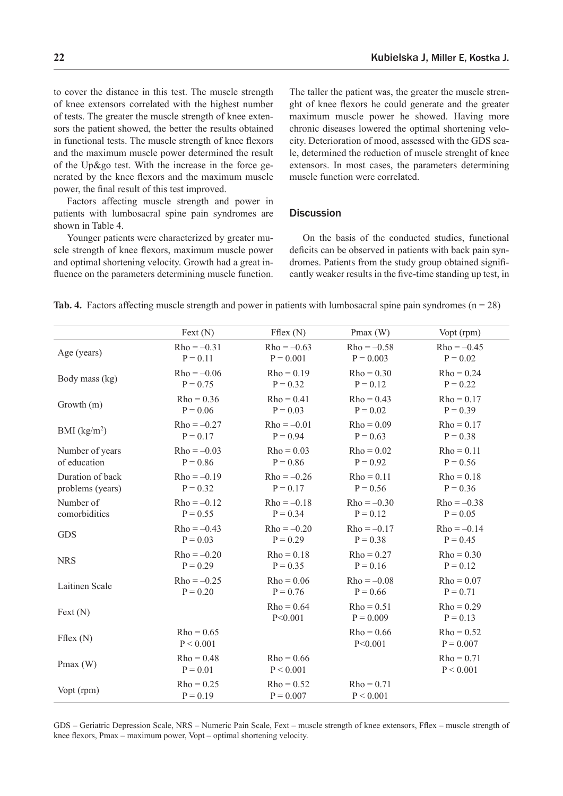$Rho = -0.45$  $P = 0.02$ 

to cover the distance in this test. The muscle strength of knee extensors correlated with the highest number of tests. The greater the muscle strength of knee extensors the patient showed, the better the results obtained in functional tests. The muscle strength of knee flexors and the maximum muscle power determined the result of the Up&go test. With the increase in the force generated by the knee flexors and the maximum muscle power, the final result of this test improved.

Factors affecting muscle strength and power in patients with lumbosacral spine pain syndromes are shown in Table 4.

Younger patients were characterized by greater muscle strength of knee flexors, maximum muscle power and optimal shortening velocity. Growth had a great influence on the parameters determining muscle function.

 $P = 0.11$ 

Age (years)  $\text{Rho} = -0.31$ 

The taller the patient was, the greater the muscle strenght of knee flexors he could generate and the greater maximum muscle power he showed. Having more chronic diseases lowered the optimal shortening velocity. Deterioration of mood, assessed with the GDS scale, determined the reduction of muscle strenght of knee extensors. In most cases, the parameters determining muscle function were correlated.

### **Discussion**

Fext (N) Fflex (N) Pmax (W) Vopt (rpm)

 $Rho = -0.58$  $P = 0.003$ 

On the basis of the conducted studies, functional deficits can be observed in patients with back pain syndromes. Patients from the study group obtained significantly weaker results in the five-time standing up test, in

|  |  |  |  |  |  | <b>Tab. 4.</b> Factors affecting muscle strength and power in patients with lumbosacral spine pain syndromes ( $n = 28$ ) |  |  |  |  |
|--|--|--|--|--|--|---------------------------------------------------------------------------------------------------------------------------|--|--|--|--|
|--|--|--|--|--|--|---------------------------------------------------------------------------------------------------------------------------|--|--|--|--|

 $Rho = -0.63$  $P = 0.001$ 

| $Rho = 0.36$<br>$Rho = 0.41$<br>$Rho = 0.43$<br>$Rho = 0.17$<br>Growth (m)<br>$P = 0.39$<br>$P = 0.06$<br>$P = 0.03$<br>$P = 0.02$<br>$Rho = -0.27$<br>$Rho = -0.01$<br>$Rho = 0.09$<br>$Rho = 0.17$<br>BMI $(kg/m2)$<br>$P = 0.17$<br>$P = 0.94$<br>$P = 0.63$<br>$P = 0.38$<br>$Rho = 0.03$<br>Number of years<br>$Rho = -0.03$<br>$Rho = 0.02$<br>$Rho = 0.11$<br>of education<br>$P = 0.86$<br>$P = 0.86$<br>$P = 0.92$<br>$P = 0.56$<br>Duration of back<br>$Rho = -0.19$<br>$Rho = -0.26$<br>$Rho = 0.11$<br>$Rho = 0.18$<br>problems (years)<br>$P = 0.32$<br>$P = 0.17$<br>$P = 0.56$<br>$P = 0.36$<br>Number of<br>$Rho = -0.12$<br>$Rho = -0.18$<br>$Rho = -0.30$<br>$Rho = -0.38$<br>comorbidities<br>$P = 0.34$<br>$P = 0.55$<br>$P = 0.12$<br>$P = 0.05$<br>$Rho = -0.20$<br>$Rho = -0.43$<br>$Rho = -0.17$<br>$Rho = -0.14$<br><b>GDS</b><br>$P = 0.29$<br>$P = 0.03$<br>$P = 0.38$<br>$P = 0.45$<br>$Rho = 0.18$<br>$Rho = 0.27$<br>$Rho = 0.30$<br>$Rho = -0.20$<br><b>NRS</b><br>$P = 0.29$<br>$P = 0.35$<br>$P = 0.16$<br>$P = 0.12$<br>$Rho = -0.25$<br>$Rho = 0.06$<br>$Rho = -0.08$<br>$Rho = 0.07$<br>Laitinen Scale<br>$P = 0.20$<br>$P = 0.76$<br>$P = 0.66$<br>$P = 0.71$<br>$Rho = 0.64$<br>$Rho = 0.51$<br>$Rho = 0.29$<br>Text(N)<br>P < 0.001<br>$P = 0.009$<br>$P = 0.13$<br>$Rho = 0.65$<br>$Rho = 0.66$<br>$Rho = 0.52$<br>Fflex(N)<br>P < 0.001<br>P < 0.001<br>$P = 0.007$<br>$Rho = 0.48$<br>$Rho = 0.66$<br>$Rho = 0.71$<br>Pmax $(W)$<br>P < 0.001<br>$P = 0.01$<br>P < 0.001<br>$Rho = 0.25$<br>$Rho = 0.52$<br>$Rho = 0.71$<br>Vopt (rpm)<br>$P = 0.19$<br>$P = 0.007$<br>P < 0.001 | Body mass (kg) | $Rho = -0.06$<br>$P = 0.75$ | $Rho = 0.19$<br>$P = 0.32$ | $Rho = 0.30$<br>$P = 0.12$ | $Rho = 0.24$<br>$P = 0.22$ |
|----------------------------------------------------------------------------------------------------------------------------------------------------------------------------------------------------------------------------------------------------------------------------------------------------------------------------------------------------------------------------------------------------------------------------------------------------------------------------------------------------------------------------------------------------------------------------------------------------------------------------------------------------------------------------------------------------------------------------------------------------------------------------------------------------------------------------------------------------------------------------------------------------------------------------------------------------------------------------------------------------------------------------------------------------------------------------------------------------------------------------------------------------------------------------------------------------------------------------------------------------------------------------------------------------------------------------------------------------------------------------------------------------------------------------------------------------------------------------------------------------------------------------------------------------------------------------------------------------------------------------|----------------|-----------------------------|----------------------------|----------------------------|----------------------------|
|                                                                                                                                                                                                                                                                                                                                                                                                                                                                                                                                                                                                                                                                                                                                                                                                                                                                                                                                                                                                                                                                                                                                                                                                                                                                                                                                                                                                                                                                                                                                                                                                                            |                |                             |                            |                            |                            |
|                                                                                                                                                                                                                                                                                                                                                                                                                                                                                                                                                                                                                                                                                                                                                                                                                                                                                                                                                                                                                                                                                                                                                                                                                                                                                                                                                                                                                                                                                                                                                                                                                            |                |                             |                            |                            |                            |
|                                                                                                                                                                                                                                                                                                                                                                                                                                                                                                                                                                                                                                                                                                                                                                                                                                                                                                                                                                                                                                                                                                                                                                                                                                                                                                                                                                                                                                                                                                                                                                                                                            |                |                             |                            |                            |                            |
|                                                                                                                                                                                                                                                                                                                                                                                                                                                                                                                                                                                                                                                                                                                                                                                                                                                                                                                                                                                                                                                                                                                                                                                                                                                                                                                                                                                                                                                                                                                                                                                                                            |                |                             |                            |                            |                            |
|                                                                                                                                                                                                                                                                                                                                                                                                                                                                                                                                                                                                                                                                                                                                                                                                                                                                                                                                                                                                                                                                                                                                                                                                                                                                                                                                                                                                                                                                                                                                                                                                                            |                |                             |                            |                            |                            |
|                                                                                                                                                                                                                                                                                                                                                                                                                                                                                                                                                                                                                                                                                                                                                                                                                                                                                                                                                                                                                                                                                                                                                                                                                                                                                                                                                                                                                                                                                                                                                                                                                            |                |                             |                            |                            |                            |
|                                                                                                                                                                                                                                                                                                                                                                                                                                                                                                                                                                                                                                                                                                                                                                                                                                                                                                                                                                                                                                                                                                                                                                                                                                                                                                                                                                                                                                                                                                                                                                                                                            |                |                             |                            |                            |                            |
|                                                                                                                                                                                                                                                                                                                                                                                                                                                                                                                                                                                                                                                                                                                                                                                                                                                                                                                                                                                                                                                                                                                                                                                                                                                                                                                                                                                                                                                                                                                                                                                                                            |                |                             |                            |                            |                            |
|                                                                                                                                                                                                                                                                                                                                                                                                                                                                                                                                                                                                                                                                                                                                                                                                                                                                                                                                                                                                                                                                                                                                                                                                                                                                                                                                                                                                                                                                                                                                                                                                                            |                |                             |                            |                            |                            |
|                                                                                                                                                                                                                                                                                                                                                                                                                                                                                                                                                                                                                                                                                                                                                                                                                                                                                                                                                                                                                                                                                                                                                                                                                                                                                                                                                                                                                                                                                                                                                                                                                            |                |                             |                            |                            |                            |
|                                                                                                                                                                                                                                                                                                                                                                                                                                                                                                                                                                                                                                                                                                                                                                                                                                                                                                                                                                                                                                                                                                                                                                                                                                                                                                                                                                                                                                                                                                                                                                                                                            |                |                             |                            |                            |                            |
|                                                                                                                                                                                                                                                                                                                                                                                                                                                                                                                                                                                                                                                                                                                                                                                                                                                                                                                                                                                                                                                                                                                                                                                                                                                                                                                                                                                                                                                                                                                                                                                                                            |                |                             |                            |                            |                            |

GDS – Geriatric Depression Scale, NRS – Numeric Pain Scale, Fext – muscle strength of knee extensors, Fflex – muscle strength of knee flexors, Pmax – maximum power, Vopt – optimal shortening velocity.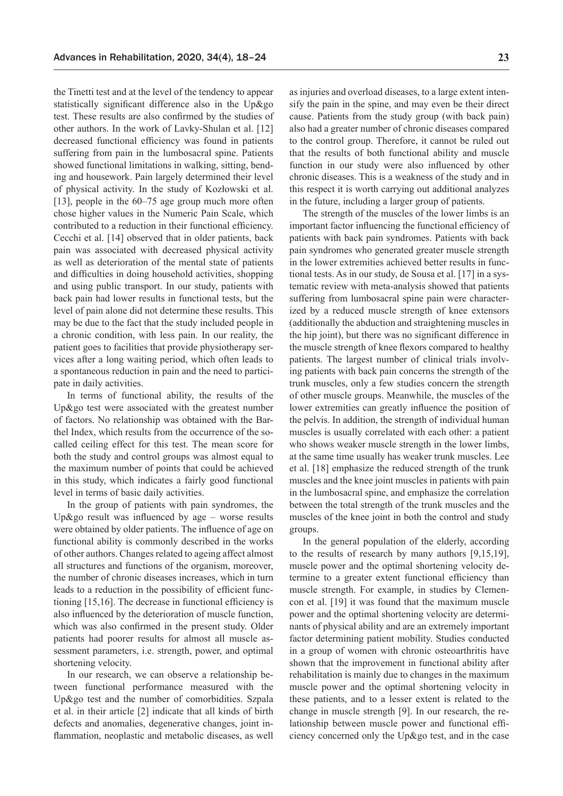the Tinetti test and at the level of the tendency to appear statistically significant difference also in the Up&go test. These results are also confirmed by the studies of other authors. In the work of Lavky-Shulan et al. [12] decreased functional efficiency was found in patients suffering from pain in the lumbosacral spine. Patients showed functional limitations in walking, sitting, bending and housework. Pain largely determined their level of physical activity. In the study of Kozłowski et al. [13], people in the 60–75 age group much more often chose higher values in the Numeric Pain Scale, which contributed to a reduction in their functional efficiency. Cecchi et al. [14] observed that in older patients, back pain was associated with decreased physical activity as well as deterioration of the mental state of patients and difficulties in doing household activities, shopping and using public transport. In our study, patients with back pain had lower results in functional tests, but the level of pain alone did not determine these results. This may be due to the fact that the study included people in a chronic condition, with less pain. In our reality, the patient goes to facilities that provide physiotherapy services after a long waiting period, which often leads to a spontaneous reduction in pain and the need to participate in daily activities.

In terms of functional ability, the results of the Up&go test were associated with the greatest number of factors. No relationship was obtained with the Barthel Index, which results from the occurrence of the socalled ceiling effect for this test. The mean score for both the study and control groups was almost equal to the maximum number of points that could be achieved in this study, which indicates a fairly good functional level in terms of basic daily activities.

In the group of patients with pain syndromes, the Up&go result was influenced by age – worse results were obtained by older patients. The influence of age on functional ability is commonly described in the works of other authors. Changes related to ageing affect almost all structures and functions of the organism, moreover, the number of chronic diseases increases, which in turn leads to a reduction in the possibility of efficient functioning [15,16]. The decrease in functional efficiency is also influenced by the deterioration of muscle function, which was also confirmed in the present study. Older patients had poorer results for almost all muscle assessment parameters, i.e. strength, power, and optimal shortening velocity.

In our research, we can observe a relationship between functional performance measured with the Up&go test and the number of comorbidities. Szpala et al. in their article [2] indicate that all kinds of birth defects and anomalies, degenerative changes, joint inflammation, neoplastic and metabolic diseases, as well as injuries and overload diseases, to a large extent intensify the pain in the spine, and may even be their direct cause. Patients from the study group (with back pain) also had a greater number of chronic diseases compared to the control group. Therefore, it cannot be ruled out that the results of both functional ability and muscle function in our study were also influenced by other chronic diseases. This is a weakness of the study and in this respect it is worth carrying out additional analyzes in the future, including a larger group of patients.

The strength of the muscles of the lower limbs is an important factor influencing the functional efficiency of patients with back pain syndromes. Patients with back pain syndromes who generated greater muscle strength in the lower extremities achieved better results in functional tests. As in our study, de Sousa et al. [17] in a systematic review with meta-analysis showed that patients suffering from lumbosacral spine pain were characterized by a reduced muscle strength of knee extensors (additionally the abduction and straightening muscles in the hip joint), but there was no significant difference in the muscle strength of knee flexors compared to healthy patients. The largest number of clinical trials involving patients with back pain concerns the strength of the trunk muscles, only a few studies concern the strength of other muscle groups. Meanwhile, the muscles of the lower extremities can greatly influence the position of the pelvis. In addition, the strength of individual human muscles is usually correlated with each other: a patient who shows weaker muscle strength in the lower limbs, at the same time usually has weaker trunk muscles. Lee et al. [18] emphasize the reduced strength of the trunk muscles and the knee joint muscles in patients with pain in the lumbosacral spine, and emphasize the correlation between the total strength of the trunk muscles and the muscles of the knee joint in both the control and study groups.

In the general population of the elderly, according to the results of research by many authors [9,15,19], muscle power and the optimal shortening velocity determine to a greater extent functional efficiency than muscle strength. For example, in studies by Clemencon et al. [19] it was found that the maximum muscle power and the optimal shortening velocity are determinants of physical ability and are an extremely important factor determining patient mobility. Studies conducted in a group of women with chronic osteoarthritis have shown that the improvement in functional ability after rehabilitation is mainly due to changes in the maximum muscle power and the optimal shortening velocity in these patients, and to a lesser extent is related to the change in muscle strength [9]. In our research, the relationship between muscle power and functional efficiency concerned only the Up&go test, and in the case